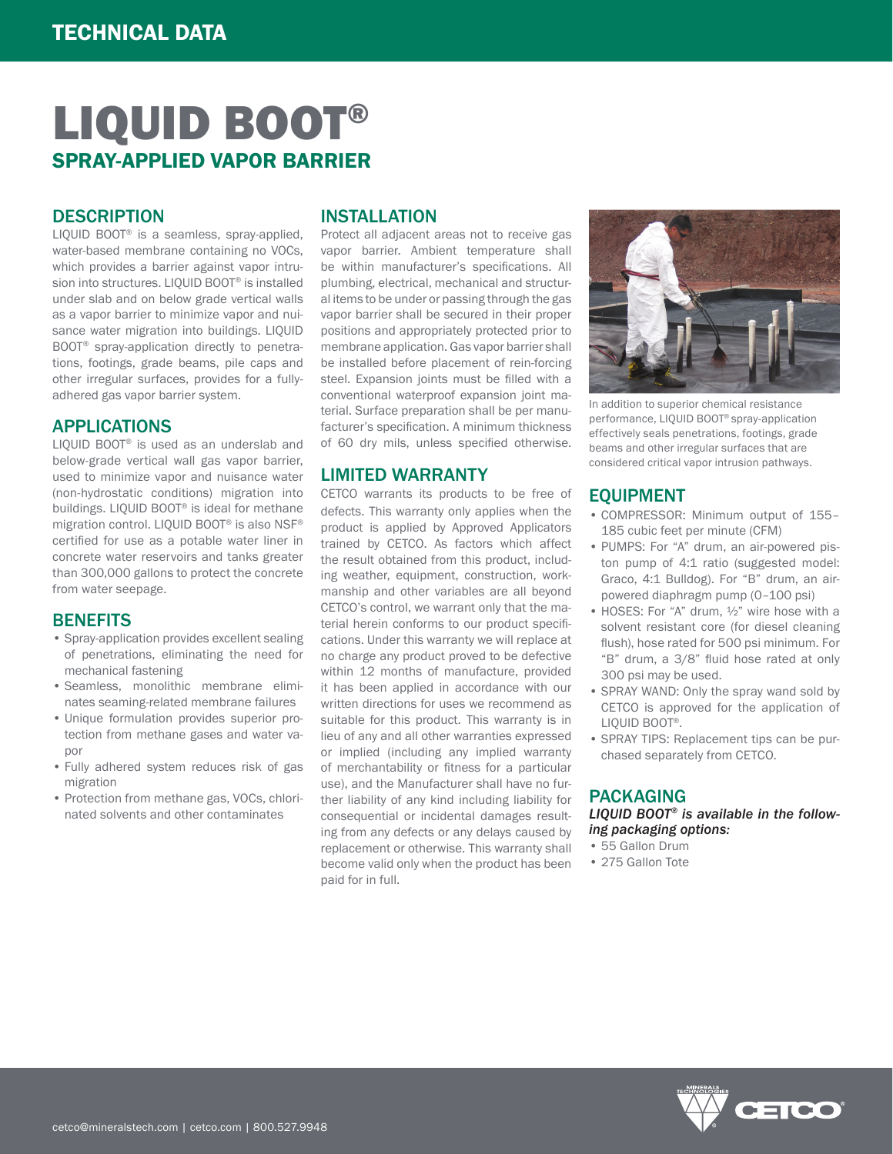# LIQUID BOOT® SPRAY-APPLIED VAPOR BARRIER

#### **DESCRIPTION**

LIQUID BOOT® is a seamless, spray-applied, water-based membrane containing no VOCs, which provides a barrier against vapor intrusion into structures. LIQUID BOOT® is installed under slab and on below grade vertical walls as a vapor barrier to minimize vapor and nuisance water migration into buildings. LIQUID BOOT® spray-application directly to penetrations, footings, grade beams, pile caps and other irregular surfaces, provides for a fullyadhered gas vapor barrier system.

#### APPLICATIONS

LIQUID BOOT® is used as an underslab and below-grade vertical wall gas vapor barrier, used to minimize vapor and nuisance water (non-hydrostatic conditions) migration into buildings. LIQUID BOOT® is ideal for methane migration control. LIQUID BOOT® is also NSF® certified for use as a potable water liner in concrete water reservoirs and tanks greater than 300,000 gallons to protect the concrete from water seepage.

#### **BENEFITS**

- Spray-application provides excellent sealing of penetrations, eliminating the need for mechanical fastening
- Seamless, monolithic membrane eliminates seaming-related membrane failures
- Unique formulation provides superior protection from methane gases and water vapor
- Fully adhered system reduces risk of gas migration
- Protection from methane gas, VOCs, chlorinated solvents and other contaminates

#### INSTALLATION

Protect all adjacent areas not to receive gas vapor barrier. Ambient temperature shall be within manufacturer's specifications. All plumbing, electrical, mechanical and structural items to be under or passing through the gas vapor barrier shall be secured in their proper positions and appropriately protected prior to membrane application. Gas vapor barrier shall be installed before placement of rein-forcing steel. Expansion joints must be filled with a conventional waterproof expansion joint material. Surface preparation shall be per manufacturer's specification. A minimum thickness of 60 dry mils, unless specified otherwise.

## LIMITED WARRANTY

CETCO warrants its products to be free of defects. This warranty only applies when the product is applied by Approved Applicators trained by CETCO. As factors which affect the result obtained from this product, including weather, equipment, construction, workmanship and other variables are all beyond CETCO's control, we warrant only that the material herein conforms to our product specifications. Under this warranty we will replace at no charge any product proved to be defective within 12 months of manufacture, provided it has been applied in accordance with our written directions for uses we recommend as suitable for this product. This warranty is in lieu of any and all other warranties expressed or implied (including any implied warranty of merchantability or fitness for a particular use), and the Manufacturer shall have no further liability of any kind including liability for consequential or incidental damages resulting from any defects or any delays caused by replacement or otherwise. This warranty shall become valid only when the product has been paid for in full.



In addition to superior chemical resistance performance, LIQUID BOOT® spray-application effectively seals penetrations, footings, grade beams and other irregular surfaces that are considered critical vapor intrusion pathways.

#### EQUIPMENT

- COMPRESSOR: Minimum output of 155– 185 cubic feet per minute (CFM)
- PUMPS: For "A" drum, an air-powered piston pump of 4:1 ratio (suggested model: Graco, 4:1 Bulldog). For "B" drum, an airpowered diaphragm pump (0–100 psi)
- HOSES: For "A" drum, ½" wire hose with a solvent resistant core (for diesel cleaning flush), hose rated for 500 psi minimum. For "B" drum, a 3/8" fluid hose rated at only 300 psi may be used.
- SPRAY WAND: Only the spray wand sold by CETCO is approved for the application of LIQUID BOOT®.
- SPRAY TIPS: Replacement tips can be purchased separately from CETCO.

#### PACKAGING

*LIQUID BOOT® is available in the following packaging options:*

- 55 Gallon Drum
- 275 Gallon Tote